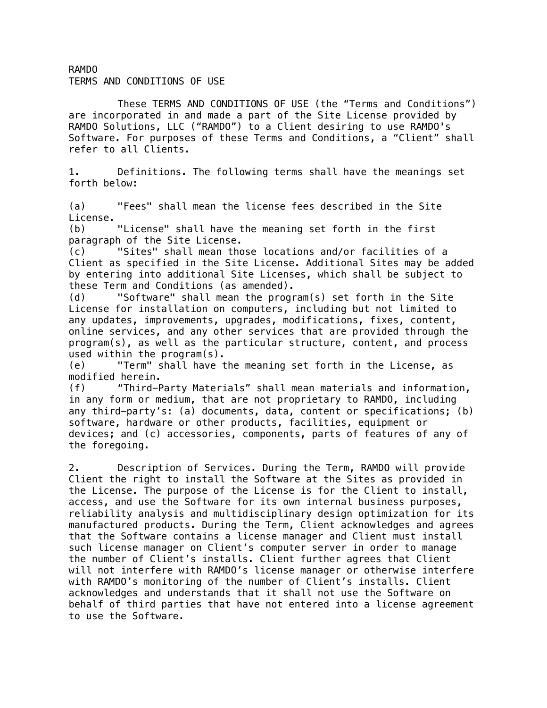RAMDO TERMS AND CONDITIONS OF USE

These TERMS AND CONDITIONS OF USE (the "Terms and Conditions") are incorporated in and made a part of the Site License provided by RAMDO Solutions, LLC ("RAMDO") to a Client desiring to use RAMDO's Software. For purposes of these Terms and Conditions, a "Client" shall refer to all Clients.

1. Definitions. The following terms shall have the meanings set forth below:

(a) "Fees" shall mean the license fees described in the Site License.

(b) "License" shall have the meaning set forth in the first paragraph of the Site License.

(c) "Sites" shall mean those locations and/or facilities of a Client as specified in the Site License. Additional Sites may be added by entering into additional Site Licenses, which shall be subject to these Term and Conditions (as amended).

(d) "Software" shall mean the program(s) set forth in the Site License for installation on computers, including but not limited to any updates, improvements, upgrades, modifications, fixes, content, online services, and any other services that are provided through the program(s), as well as the particular structure, content, and process used within the program(s).

(e) "Term" shall have the meaning set forth in the License, as modified herein.

(f) "Third-Party Materials" shall mean materials and information, in any form or medium, that are not proprietary to RAMDO, including any third-party's: (a) documents, data, content or specifications; (b) software, hardware or other products, facilities, equipment or devices; and (c) accessories, components, parts of features of any of the foregoing.

2. Description of Services. During the Term, RAMDO will provide Client the right to install the Software at the Sites as provided in the License. The purpose of the License is for the Client to install, access, and use the Software for its own internal business purposes, reliability analysis and multidisciplinary design optimization for its manufactured products. During the Term, Client acknowledges and agrees that the Software contains a license manager and Client must install such license manager on Client's computer server in order to manage the number of Client's installs. Client further agrees that Client will not interfere with RAMDO's license manager or otherwise interfere with RAMDO's monitoring of the number of Client's installs. Client acknowledges and understands that it shall not use the Software on behalf of third parties that have not entered into a license agreement to use the Software.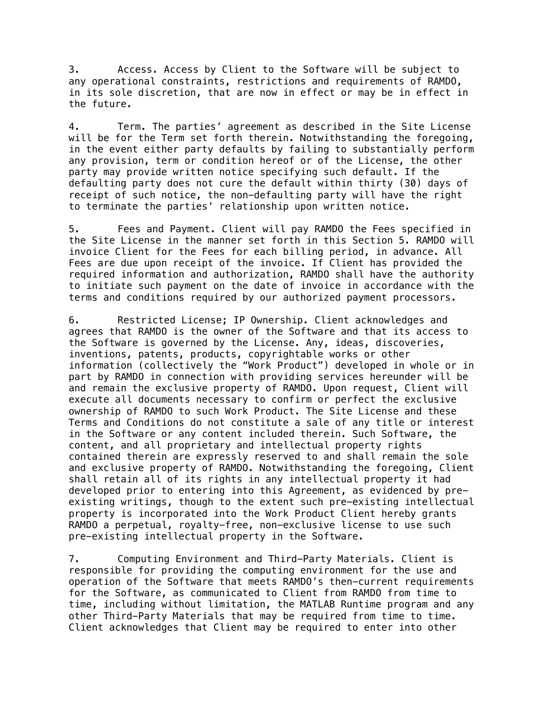3. Access. Access by Client to the Software will be subject to any operational constraints, restrictions and requirements of RAMDO, in its sole discretion, that are now in effect or may be in effect in the future.

4. Term. The parties' agreement as described in the Site License will be for the Term set forth therein. Notwithstanding the foregoing, in the event either party defaults by failing to substantially perform any provision, term or condition hereof or of the License, the other party may provide written notice specifying such default. If the defaulting party does not cure the default within thirty (30) days of receipt of such notice, the non-defaulting party will have the right to terminate the parties' relationship upon written notice.

5. Fees and Payment. Client will pay RAMDO the Fees specified in the Site License in the manner set forth in this Section 5. RAMDO will invoice Client for the Fees for each billing period, in advance. All Fees are due upon receipt of the invoice. If Client has provided the required information and authorization, RAMDO shall have the authority to initiate such payment on the date of invoice in accordance with the terms and conditions required by our authorized payment processors.

6. Restricted License; IP Ownership. Client acknowledges and agrees that RAMDO is the owner of the Software and that its access to the Software is governed by the License. Any, ideas, discoveries, inventions, patents, products, copyrightable works or other information (collectively the "Work Product") developed in whole or in part by RAMDO in connection with providing services hereunder will be and remain the exclusive property of RAMDO. Upon request, Client will execute all documents necessary to confirm or perfect the exclusive ownership of RAMDO to such Work Product. The Site License and these Terms and Conditions do not constitute a sale of any title or interest in the Software or any content included therein. Such Software, the content, and all proprietary and intellectual property rights contained therein are expressly reserved to and shall remain the sole and exclusive property of RAMDO. Notwithstanding the foregoing, Client shall retain all of its rights in any intellectual property it had developed prior to entering into this Agreement, as evidenced by preexisting writings, though to the extent such pre-existing intellectual property is incorporated into the Work Product Client hereby grants RAMDO a perpetual, royalty-free, non-exclusive license to use such pre-existing intellectual property in the Software.

7. Computing Environment and Third-Party Materials. Client is responsible for providing the computing environment for the use and operation of the Software that meets RAMDO's then-current requirements for the Software, as communicated to Client from RAMDO from time to time, including without limitation, the MATLAB Runtime program and any other Third-Party Materials that may be required from time to time. Client acknowledges that Client may be required to enter into other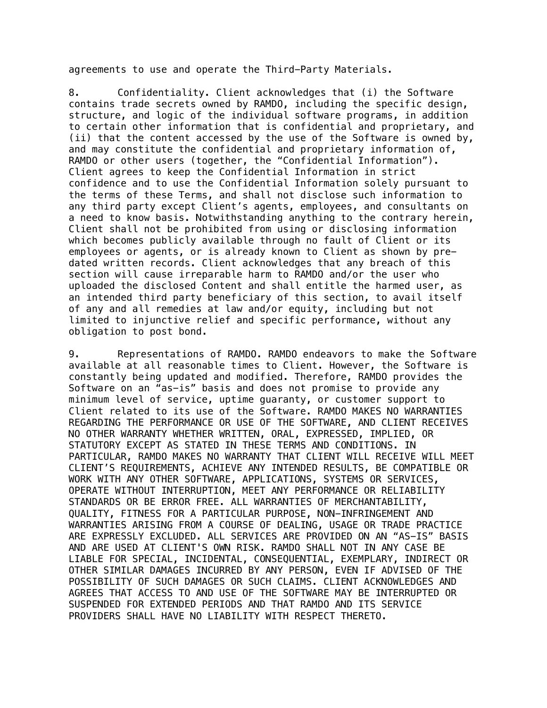agreements to use and operate the Third-Party Materials.

8. Confidentiality. Client acknowledges that (i) the Software contains trade secrets owned by RAMDO, including the specific design, structure, and logic of the individual software programs, in addition to certain other information that is confidential and proprietary, and (ii) that the content accessed by the use of the Software is owned by, and may constitute the confidential and proprietary information of, RAMDO or other users (together, the "Confidential Information"). Client agrees to keep the Confidential Information in strict confidence and to use the Confidential Information solely pursuant to the terms of these Terms, and shall not disclose such information to any third party except Client's agents, employees, and consultants on a need to know basis. Notwithstanding anything to the contrary herein, Client shall not be prohibited from using or disclosing information which becomes publicly available through no fault of Client or its employees or agents, or is already known to Client as shown by predated written records. Client acknowledges that any breach of this section will cause irreparable harm to RAMDO and/or the user who uploaded the disclosed Content and shall entitle the harmed user, as an intended third party beneficiary of this section, to avail itself of any and all remedies at law and/or equity, including but not limited to injunctive relief and specific performance, without any obligation to post bond.

9. Representations of RAMDO. RAMDO endeavors to make the Software available at all reasonable times to Client. However, the Software is constantly being updated and modified. Therefore, RAMDO provides the Software on an "as-is" basis and does not promise to provide any minimum level of service, uptime guaranty, or customer support to Client related to its use of the Software. RAMDO MAKES NO WARRANTIES REGARDING THE PERFORMANCE OR USE OF THE SOFTWARE, AND CLIENT RECEIVES NO OTHER WARRANTY WHETHER WRITTEN, ORAL, EXPRESSED, IMPLIED, OR STATUTORY EXCEPT AS STATED IN THESE TERMS AND CONDITIONS. IN PARTICULAR, RAMDO MAKES NO WARRANTY THAT CLIENT WILL RECEIVE WILL MEET CLIENT'S REQUIREMENTS, ACHIEVE ANY INTENDED RESULTS, BE COMPATIBLE OR WORK WITH ANY OTHER SOFTWARE, APPLICATIONS, SYSTEMS OR SERVICES, OPERATE WITHOUT INTERRUPTION, MEET ANY PERFORMANCE OR RELIABILITY STANDARDS OR BE ERROR FREE. ALL WARRANTIES OF MERCHANTABILITY, QUALITY, FITNESS FOR A PARTICULAR PURPOSE, NON-INFRINGEMENT AND WARRANTIES ARISING FROM A COURSE OF DEALING, USAGE OR TRADE PRACTICE ARE EXPRESSLY EXCLUDED. ALL SERVICES ARE PROVIDED ON AN "AS-IS" BASIS AND ARE USED AT CLIENT'S OWN RISK. RAMDO SHALL NOT IN ANY CASE BE LIABLE FOR SPECIAL, INCIDENTAL, CONSEQUENTIAL, EXEMPLARY, INDIRECT OR OTHER SIMILAR DAMAGES INCURRED BY ANY PERSON, EVEN IF ADVISED OF THE POSSIBILITY OF SUCH DAMAGES OR SUCH CLAIMS. CLIENT ACKNOWLEDGES AND AGREES THAT ACCESS TO AND USE OF THE SOFTWARE MAY BE INTERRUPTED OR SUSPENDED FOR EXTENDED PERIODS AND THAT RAMDO AND ITS SERVICE PROVIDERS SHALL HAVE NO LIABILITY WITH RESPECT THERETO.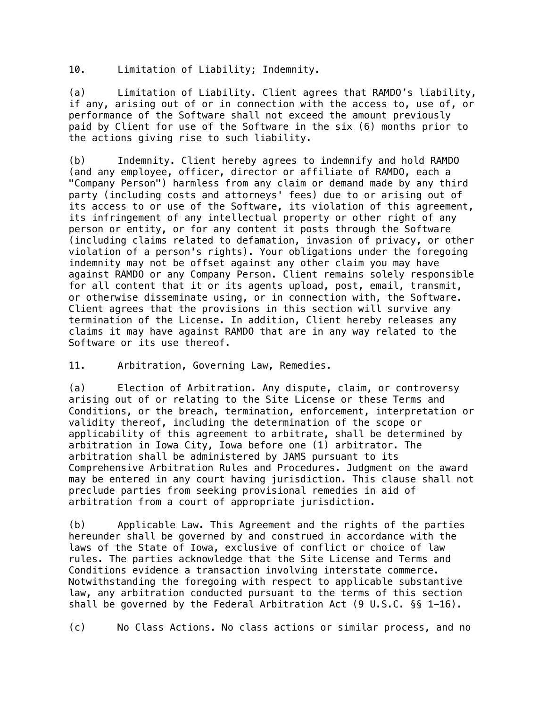10. Limitation of Liability; Indemnity.

(a) Limitation of Liability. Client agrees that RAMDO's liability, if any, arising out of or in connection with the access to, use of, or performance of the Software shall not exceed the amount previously paid by Client for use of the Software in the six (6) months prior to the actions giving rise to such liability.

(b) Indemnity. Client hereby agrees to indemnify and hold RAMDO (and any employee, officer, director or affiliate of RAMDO, each a "Company Person") harmless from any claim or demand made by any third party (including costs and attorneys' fees) due to or arising out of its access to or use of the Software, its violation of this agreement, its infringement of any intellectual property or other right of any person or entity, or for any content it posts through the Software (including claims related to defamation, invasion of privacy, or other violation of a person's rights). Your obligations under the foregoing indemnity may not be offset against any other claim you may have against RAMDO or any Company Person. Client remains solely responsible for all content that it or its agents upload, post, email, transmit, or otherwise disseminate using, or in connection with, the Software. Client agrees that the provisions in this section will survive any termination of the License. In addition, Client hereby releases any claims it may have against RAMDO that are in any way related to the Software or its use thereof.

11. Arbitration, Governing Law, Remedies.

(a) Election of Arbitration. Any dispute, claim, or controversy arising out of or relating to the Site License or these Terms and Conditions, or the breach, termination, enforcement, interpretation or validity thereof, including the determination of the scope or applicability of this agreement to arbitrate, shall be determined by arbitration in Iowa City, Iowa before one (1) arbitrator. The arbitration shall be administered by JAMS pursuant to its Comprehensive Arbitration Rules and Procedures. Judgment on the award may be entered in any court having jurisdiction. This clause shall not preclude parties from seeking provisional remedies in aid of arbitration from a court of appropriate jurisdiction.

(b) Applicable Law. This Agreement and the rights of the parties hereunder shall be governed by and construed in accordance with the laws of the State of Iowa, exclusive of conflict or choice of law rules. The parties acknowledge that the Site License and Terms and Conditions evidence a transaction involving interstate commerce. Notwithstanding the foregoing with respect to applicable substantive law, any arbitration conducted pursuant to the terms of this section shall be governed by the Federal Arbitration Act (9 U.S.C. §§ 1-16).

(c) No Class Actions. No class actions or similar process, and no